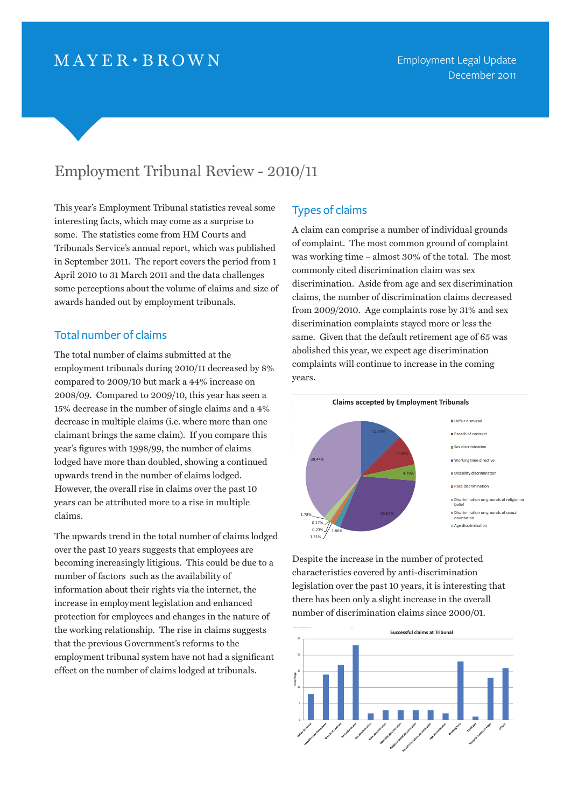# $MAYER \cdot BROWN$

# Employment Tribunal Review - 2010/11

This year's Employment Tribunal statistics reveal some interesting facts, which may come as a surprise to some. The statistics come from HM Courts and Tribunals Service's annual report, which was published in September 2011. The report covers the period from 1 April 2010 to 31 March 2011 and the data challenges some perceptions about the volume of claims and size of awards handed out by employment tribunals.

### Total number of claims

The total number of claims submitted at the employment tribunals during 2010/11 decreased by 8% compared to 2009/10 but mark a 44% increase on 2008/09. Compared to 2009/10, this year has seen a 15% decrease in the number of single claims and a 4% decrease in multiple claims (i.e. where more than one claimant brings the same claim). If you compare this year's figures with 1998/99, the number of claims lodged have more than doubled, showing a continued upwards trend in the number of claims lodged. However, the overall rise in claims over the past 10 years can be attributed more to a rise in multiple claims.

The upwards trend in the total number of claims lodged over the past 10 years suggests that employees are becoming increasingly litigious. This could be due to a number of factors such as the availability of information about their rights via the internet, the increase in employment legislation and enhanced protection for employees and changes in the nature of the working relationship. The rise in claims suggests that the previous Government's reforms to the employment tribunal system have not had a significant effect on the number of claims lodged at tribunals.

#### Types of claims

A claim can comprise a number of individual grounds of complaint. The most common ground of complaint was working time – almost 30% of the total. The most commonly cited discrimination claim was sex discrimination. Aside from age and sex discrimination claims, the number of discrimination claims decreased from 2009/2010. Age complaints rose by 31% and sex discrimination complaints stayed more or less the same. Given that the default retirement age of 65 was abolished this year, we expect age discrimination complaints will continue to increase in the coming years.





Despite the increase in the number of protected characteristics covered by anti-discrimination legislation over the past 10 years, it is interesting that there has been only a slight increase in the overall number of discrimination claims since 2000/01.

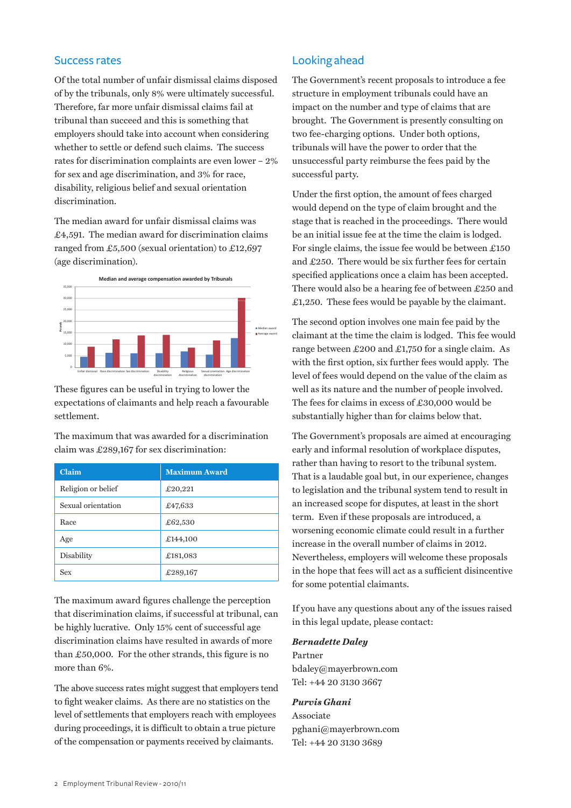### Success rates

Of the total number of unfair dismissal claims disposed of by the tribunals, only 8% were ultimately successful. Therefore, far more unfair dismissal claims fail at tribunal than succeed and this is something that employers should take into account when considering whether to settle or defend such claims. The success rates for discrimination complaints are even lower – 2% for sex and age discrimination, and 3% for race, disability, religious belief and sexual orientation discrimination.

The median award for unfair dismissal claims was £4,591. The median award for discrimination claims ranged from £5,500 (sexual orientation) to £12,697 (age discrimination).  $A = \frac{1}{2}$ ,  $A = \frac{1}{2}$ 



These figures can be useful in trying to lower the expectations of claimants and help reach a favourable settlement.

The maximum that was awarded for a discrimination claim was £289,167 for sex discrimination:

| Claim              | <b>Maximum Award</b> |
|--------------------|----------------------|
| Religion or belief | £20,221              |
| Sexual orientation | £47,633              |
| Race               | £62,530              |
| Age                | £144,100             |
| Disability         | £181,083             |
| Sex                | £289,167             |

The maximum award figures challenge the perception that discrimination claims, if successful at tribunal, can be highly lucrative. Only 15% cent of successful age discrimination claims have resulted in awards of more than £50,000. For the other strands, this figure is no more than 6%.

The above success rates might suggest that employers tend to fight weaker claims. As there are no statistics on the level of settlements that employers reach with employees during proceedings, it is difficult to obtain a true picture of the compensation or payments received by claimants.

### Looking ahead

The Government's recent proposals to introduce a fee structure in employment tribunals could have an impact on the number and type of claims that are brought. The Government is presently consulting on two fee-charging options. Under both options, tribunals will have the power to order that the unsuccessful party reimburse the fees paid by the successful party.

Under the first option, the amount of fees charged would depend on the type of claim brought and the stage that is reached in the proceedings. There would be an initial issue fee at the time the claim is lodged. For single claims, the issue fee would be between  $£150$ and £250. There would be six further fees for certain specified applications once a claim has been accepted. There would also be a hearing fee of between £250 and £1,250. These fees would be payable by the claimant.

The second option involves one main fee paid by the claimant at the time the claim is lodged. This fee would range between £200 and £1,750 for a single claim. As with the first option, six further fees would apply. The level of fees would depend on the value of the claim as well as its nature and the number of people involved. The fees for claims in excess of £30,000 would be substantially higher than for claims below that.

The Government's proposals are aimed at encouraging early and informal resolution of workplace disputes, rather than having to resort to the tribunal system. That is a laudable goal but, in our experience, changes to legislation and the tribunal system tend to result in an increased scope for disputes, at least in the short term. Even if these proposals are introduced, a worsening economic climate could result in a further increase in the overall number of claims in 2012. Nevertheless, employers will welcome these proposals in the hope that fees will act as a sufficient disincentive for some potential claimants.

If you have any questions about any of the issues raised in this legal update, please contact:

#### *Bernadette Daley*

Partner [bdaley@mayerbrown.com](mailto:bdaley@mayerbrown.com) Tel: +44 20 3130 3667

#### *Purvis Ghani*

Associate [pghani@mayerbrown.com](mailto:pghani@mayerbrown.com) Tel: +44 20 3130 3689